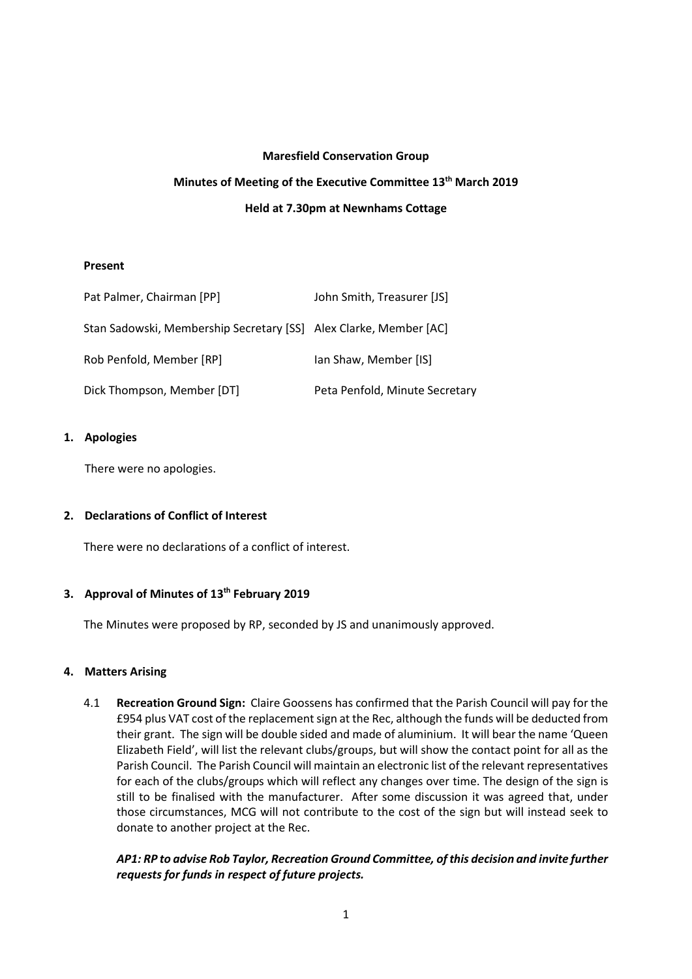## **Maresfield Conservation Group**

# **Minutes of Meeting of the Executive Committee 13 th March 2019 Held at 7.30pm at Newnhams Cottage**

## **Present**

| Pat Palmer, Chairman [PP]                                         | John Smith, Treasurer [JS]     |
|-------------------------------------------------------------------|--------------------------------|
| Stan Sadowski, Membership Secretary [SS] Alex Clarke, Member [AC] |                                |
| Rob Penfold, Member [RP]                                          | lan Shaw, Member [IS]          |
| Dick Thompson, Member [DT]                                        | Peta Penfold, Minute Secretary |

# **1. Apologies**

There were no apologies.

# **2. Declarations of Conflict of Interest**

There were no declarations of a conflict of interest.

# **3. Approval of Minutes of 13 th February 2019**

The Minutes were proposed by RP, seconded by JS and unanimously approved.

# **4. Matters Arising**

4.1 **Recreation Ground Sign:** Claire Goossens has confirmed that the Parish Council will pay for the £954 plus VAT cost of the replacementsign at the Rec, although the funds will be deducted from their grant. The sign will be double sided and made of aluminium. It will bear the name 'Queen Elizabeth Field', will list the relevant clubs/groups, but will show the contact point for all as the Parish Council. The Parish Council will maintain an electronic list of the relevant representatives for each of the clubs/groups which will reflect any changes over time. The design of the sign is still to be finalised with the manufacturer. After some discussion it was agreed that, under those circumstances, MCG will not contribute to the cost of the sign but will instead seek to donate to another project at the Rec.

*AP1: RP to advise Rob Taylor, Recreation Ground Committee, of this decision and invite further requests for funds in respect of future projects.*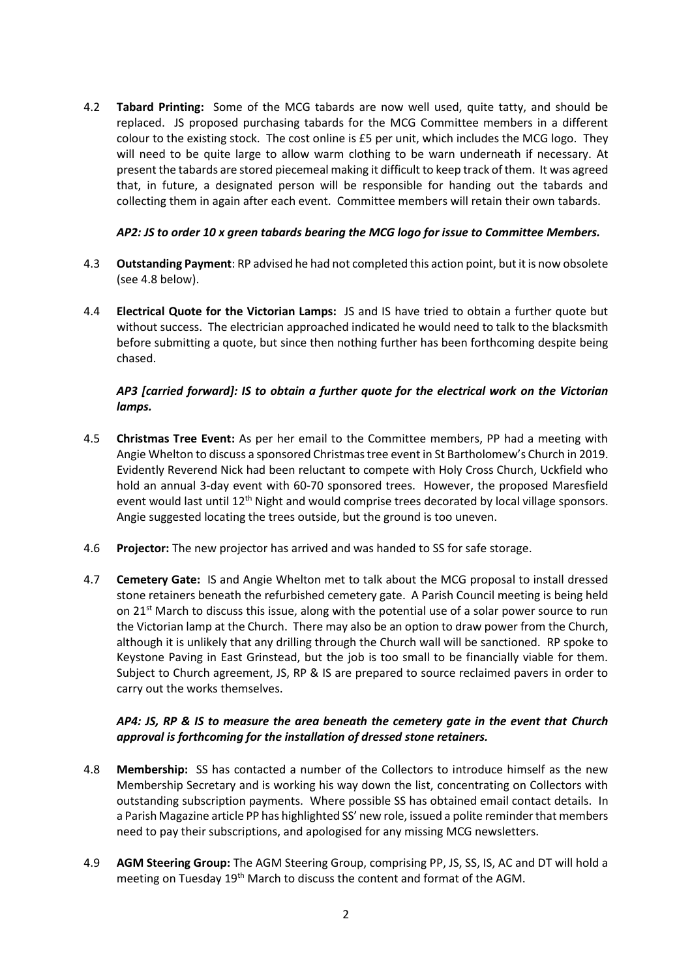4.2 **Tabard Printing:** Some of the MCG tabards are now well used, quite tatty, and should be replaced. JS proposed purchasing tabards for the MCG Committee members in a different colour to the existing stock. The cost online is £5 per unit, which includes the MCG logo. They will need to be quite large to allow warm clothing to be warn underneath if necessary. At present the tabards are stored piecemeal making it difficult to keep track of them. It was agreed that, in future, a designated person will be responsible for handing out the tabards and collecting them in again after each event. Committee members will retain their own tabards.

# *AP2: JS to order 10 x green tabards bearing the MCG logo for issue to Committee Members.*

- 4.3 **Outstanding Payment**: RP advised he had not completed this action point, but it is now obsolete (see 4.8 below).
- 4.4 **Electrical Quote for the Victorian Lamps:** JS and IS have tried to obtain a further quote but without success. The electrician approached indicated he would need to talk to the blacksmith before submitting a quote, but since then nothing further has been forthcoming despite being chased.

# *AP3 [carried forward]: IS to obtain a further quote for the electrical work on the Victorian lamps.*

- 4.5 **Christmas Tree Event:** As per her email to the Committee members, PP had a meeting with Angie Whelton to discuss a sponsored Christmas tree event in St Bartholomew's Church in 2019. Evidently Reverend Nick had been reluctant to compete with Holy Cross Church, Uckfield who hold an annual 3-day event with 60-70 sponsored trees. However, the proposed Maresfield event would last until 12<sup>th</sup> Night and would comprise trees decorated by local village sponsors. Angie suggested locating the trees outside, but the ground is too uneven.
- 4.6 **Projector:** The new projector has arrived and was handed to SS for safe storage.
- 4.7 **Cemetery Gate:** IS and Angie Whelton met to talk about the MCG proposal to install dressed stone retainers beneath the refurbished cemetery gate. A Parish Council meeting is being held on  $21^{st}$  March to discuss this issue, along with the potential use of a solar power source to run the Victorian lamp at the Church. There may also be an option to draw power from the Church, although it is unlikely that any drilling through the Church wall will be sanctioned. RP spoke to Keystone Paving in East Grinstead, but the job is too small to be financially viable for them. Subject to Church agreement, JS, RP & IS are prepared to source reclaimed pavers in order to carry out the works themselves.

# *AP4: JS, RP & IS to measure the area beneath the cemetery gate in the event that Church approval is forthcoming for the installation of dressed stone retainers.*

- 4.8 **Membership:** SS has contacted a number of the Collectors to introduce himself as the new Membership Secretary and is working his way down the list, concentrating on Collectors with outstanding subscription payments. Where possible SS has obtained email contact details. In a Parish Magazine article PP has highlighted SS' new role, issued a polite reminder that members need to pay their subscriptions, and apologised for any missing MCG newsletters.
- 4.9 **AGM Steering Group:** The AGM Steering Group, comprising PP, JS, SS, IS, AC and DT will hold a meeting on Tuesday 19<sup>th</sup> March to discuss the content and format of the AGM.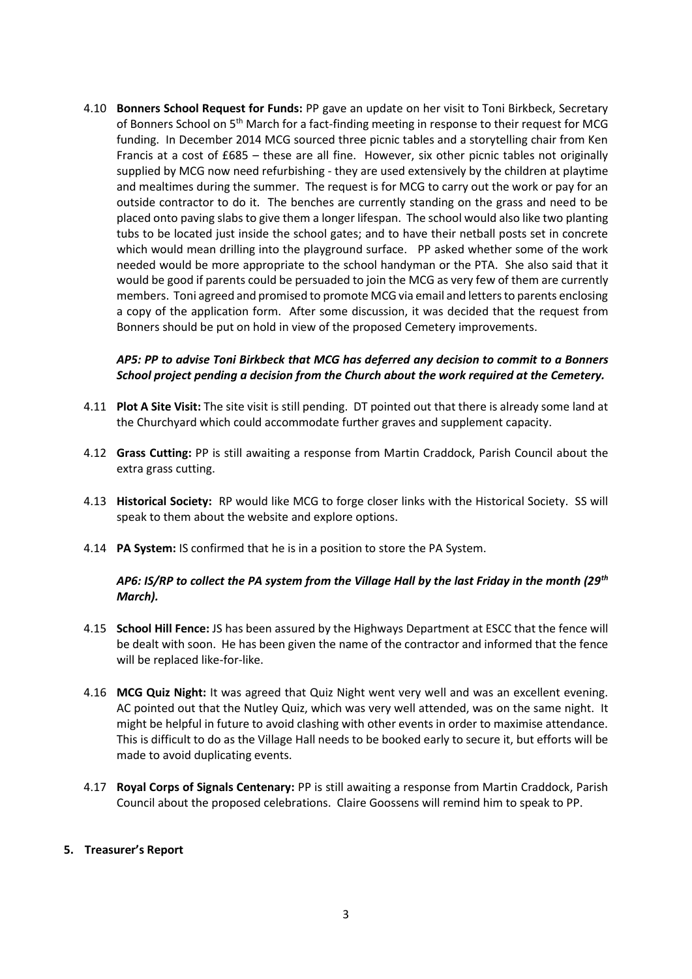4.10 **Bonners School Request for Funds:** PP gave an update on her visit to Toni Birkbeck, Secretary of Bonners School on 5th March for a fact-finding meeting in response to their request for MCG funding. In December 2014 MCG sourced three picnic tables and a storytelling chair from Ken Francis at a cost of £685 – these are all fine. However, six other picnic tables not originally supplied by MCG now need refurbishing - they are used extensively by the children at playtime and mealtimes during the summer. The request is for MCG to carry out the work or pay for an outside contractor to do it. The benches are currently standing on the grass and need to be placed onto paving slabs to give them a longer lifespan. The school would also like two planting tubs to be located just inside the school gates; and to have their netball posts set in concrete which would mean drilling into the playground surface. PP asked whether some of the work needed would be more appropriate to the school handyman or the PTA. She also said that it would be good if parents could be persuaded to join the MCG as very few of them are currently members. Toni agreed and promised to promote MCG via email and letters to parents enclosing a copy of the application form. After some discussion, it was decided that the request from Bonners should be put on hold in view of the proposed Cemetery improvements.

# *AP5: PP to advise Toni Birkbeck that MCG has deferred any decision to commit to a Bonners School project pending a decision from the Church about the work required at the Cemetery.*

- 4.11 **Plot A Site Visit:** The site visit is still pending. DT pointed out that there is already some land at the Churchyard which could accommodate further graves and supplement capacity.
- 4.12 **Grass Cutting:** PP is still awaiting a response from Martin Craddock, Parish Council about the extra grass cutting.
- 4.13 **Historical Society:** RP would like MCG to forge closer links with the Historical Society. SS will speak to them about the website and explore options.
- 4.14 **PA System:** IS confirmed that he is in a position to store the PA System.

## *AP6: IS/RP to collect the PA system from the Village Hall by the last Friday in the month (29th March).*

- 4.15 **School Hill Fence:** JS has been assured by the Highways Department at ESCC that the fence will be dealt with soon. He has been given the name of the contractor and informed that the fence will be replaced like-for-like.
- 4.16 **MCG Quiz Night:** It was agreed that Quiz Night went very well and was an excellent evening. AC pointed out that the Nutley Quiz, which was very well attended, was on the same night. It might be helpful in future to avoid clashing with other events in order to maximise attendance. This is difficult to do as the Village Hall needs to be booked early to secure it, but efforts will be made to avoid duplicating events.
- 4.17 **Royal Corps of Signals Centenary:** PP is still awaiting a response from Martin Craddock, Parish Council about the proposed celebrations. Claire Goossens will remind him to speak to PP.

## **5. Treasurer's Report**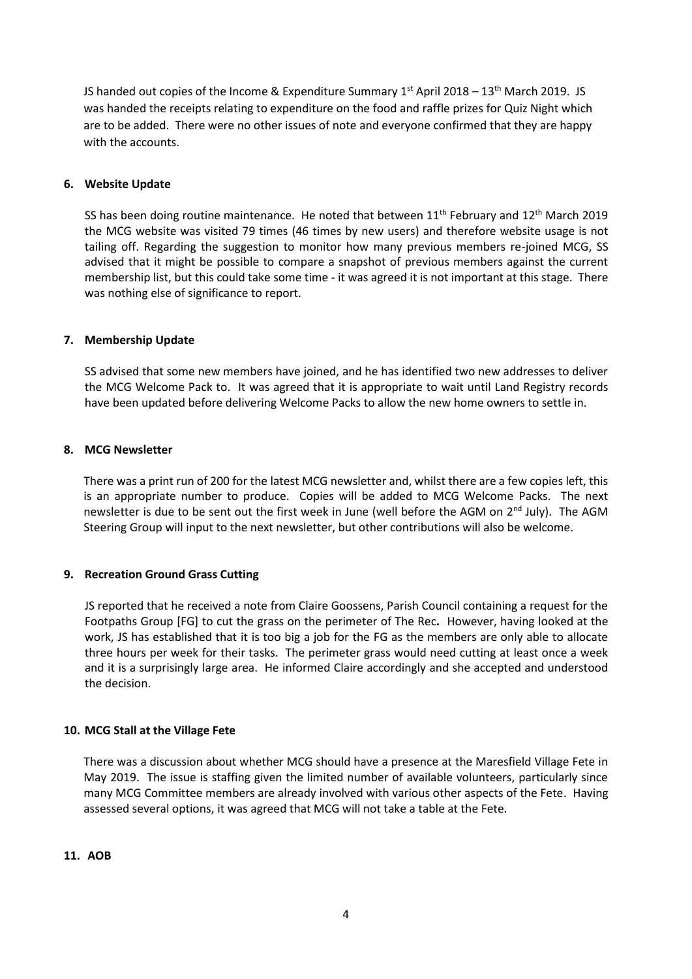JS handed out copies of the Income & Expenditure Summary  $1<sup>st</sup>$  April 2018 – 13<sup>th</sup> March 2019. JS was handed the receipts relating to expenditure on the food and raffle prizes for Quiz Night which are to be added. There were no other issues of note and everyone confirmed that they are happy with the accounts.

## **6. Website Update**

SS has been doing routine maintenance. He noted that between  $11<sup>th</sup>$  February and  $12<sup>th</sup>$  March 2019 the MCG website was visited 79 times (46 times by new users) and therefore website usage is not tailing off. Regarding the suggestion to monitor how many previous members re-joined MCG, SS advised that it might be possible to compare a snapshot of previous members against the current membership list, but this could take some time - it was agreed it is not important at this stage. There was nothing else of significance to report.

## **7. Membership Update**

SS advised that some new members have joined, and he has identified two new addresses to deliver the MCG Welcome Pack to. It was agreed that it is appropriate to wait until Land Registry records have been updated before delivering Welcome Packs to allow the new home owners to settle in.

#### **8. MCG Newsletter**

There was a print run of 200 for the latest MCG newsletter and, whilst there are a few copies left, this is an appropriate number to produce. Copies will be added to MCG Welcome Packs. The next newsletter is due to be sent out the first week in June (well before the AGM on  $2<sup>nd</sup>$  July). The AGM Steering Group will input to the next newsletter, but other contributions will also be welcome.

## **9. Recreation Ground Grass Cutting**

JS reported that he received a note from Claire Goossens, Parish Council containing a request for the Footpaths Group [FG] to cut the grass on the perimeter of The Rec*.* However, having looked at the work, JS has established that it is too big a job for the FG as the members are only able to allocate three hours per week for their tasks. The perimeter grass would need cutting at least once a week and it is a surprisingly large area. He informed Claire accordingly and she accepted and understood the decision.

#### **10. MCG Stall at the Village Fete**

There was a discussion about whether MCG should have a presence at the Maresfield Village Fete in May 2019. The issue is staffing given the limited number of available volunteers, particularly since many MCG Committee members are already involved with various other aspects of the Fete. Having assessed several options, it was agreed that MCG will not take a table at the Fete.

**11. AOB**